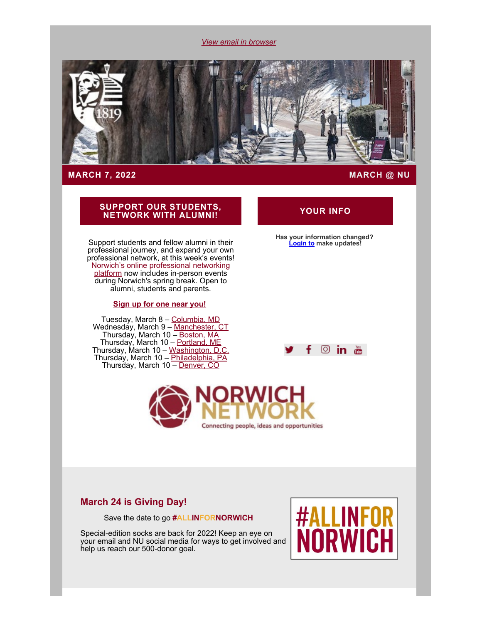*[View email in browser](#page-0-0)*

<span id="page-0-0"></span>

### **MARCH 7, 2022 MARCH @ NU**

# **SUPPORT OUR STUDENTS, NETWORK WITH ALUMNI! YOUR INFO**

Support students and fellow alumni in their professional journey, and expand your own professional network, at this week's events! [Norwich's online professional networking](https://alumni.norwich.edu/page.redir?target=https%3a%2f%2fnetworking.norwich.edu%2f&srcid=157788&srctid=1&erid=22454371&trid=0ca2c1df-c519-4b10-a75a-b08d4b74adae) [platform](https://alumni.norwich.edu/page.redir?target=https%3a%2f%2fnetworking.norwich.edu%2f&srcid=157788&srctid=1&erid=22454371&trid=0ca2c1df-c519-4b10-a75a-b08d4b74adae) now includes in-person events during Norwich's spring break. Open to alumni, students and parents.

#### **[Sign up for one near you!](https://alumni.norwich.edu/NorwichNetworkingEvents?srctid=1&erid=22454371&trid=0ca2c1df-c519-4b10-a75a-b08d4b74adae)**

Tuesday, March 8 – <u>[Columbia, MD](https://alumni.norwich.edu/events/norwichnetworking2022MD?srctid=1&erid=22454371&trid=0ca2c1df-c519-4b10-a75a-b08d4b74adae)</u> Wednesday, March 9 – <u>Manchester, CT</u> Thursday, March 10 – <u>[Boston, MA](https://alumni.norwich.edu/BostonNetworking2022?srctid=1&erid=22454371&trid=0ca2c1df-c519-4b10-a75a-b08d4b74adae)</u> Thursday, March 10 – <u>[Portland, ME](https://alumni.norwich.edu/MaineNetworking2022?srctid=1&erid=22454371&trid=0ca2c1df-c519-4b10-a75a-b08d4b74adae)</u> Thursday, March 10 – <u>[Washington, D.C.](https://alumni.norwich.edu/events/DCnorwichnetworking2022?srctid=1&erid=22454371&trid=0ca2c1df-c519-4b10-a75a-b08d4b74adae)</u> Thursday, March 10 – <u>Philadelphia, PA</u> Thursday, March 10 – <u>Denver, CO</u>

#### $\circ$  in  $\ddot{a}$ ÷.

**Has your information changed? [Login to](https://alumni.norwich.edu/MyInfo?srctid=1&erid=22454371&trid=0ca2c1df-c519-4b10-a75a-b08d4b74adae) make updates!**



# **March 24 is Giving Day!**

Save the date to go **#ALLINFORNORWICH**

Special-edition socks are back for 2022! Keep an eye on your email and NU social media for ways to get involved and help us reach our 500-donor goal.

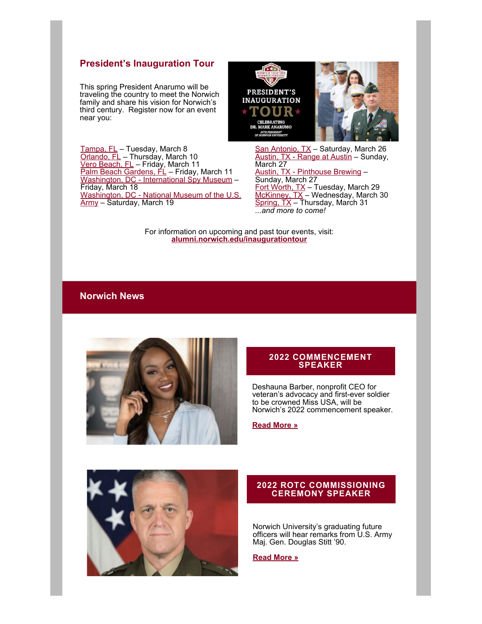# **President's Inauguration Tour**

This spring President Anarumo will be traveling the country to meet the Norwich family and share his vision for Norwich's third century. Register now for an event near you:



<u>[Tampa, FL](https://alumni.norwich.edu/TampaTour?srctid=1&erid=22454371&trid=0ca2c1df-c519-4b10-a75a-b08d4b74adae)</u> – Tuesday, March 8 <u>[Orlando, FL](https://alumni.norwich.edu/OrlandoTour?srctid=1&erid=22454371&trid=0ca2c1df-c519-4b10-a75a-b08d4b74adae)</u> – Thursday, March 10 <u>Vero Beach, FL</u> – Friday, March 11 [Palm Beach Gardens, FL](https://alumni.norwich.edu/PalmBeachTour?srctid=1&erid=22454371&trid=0ca2c1df-c519-4b10-a75a-b08d4b74adae) - Friday, March 11 [Washington, DC - International Spy Museum](https://alumni.norwich.edu/events/presidentsinaugurationtourDCspymuseum?srctid=1&erid=22454371&trid=0ca2c1df-c519-4b10-a75a-b08d4b74adae) – Friday, March 18 [Washington, DC - National Museum of the U.S.](https://alumni.norwich.edu/events/presidentsinaugurationtourdcnationalarmymuseum?srctid=1&erid=22454371&trid=0ca2c1df-c519-4b10-a75a-b08d4b74adae) <u>Army</u> – Saturday, March 19

<u>[San Antonio, T](https://alumni.norwich.edu/FortWorthTour?srctid=1&erid=22454371&trid=0ca2c1df-c519-4b10-a75a-b08d4b74adae)X</u> – Saturday, March 26 <u>[Austin, TX - R](https://alumni.norwich.edu/McKinneyTour?srctid=1&erid=22454371&trid=0ca2c1df-c519-4b10-a75a-b08d4b74adae)ange at Austin</u> – Sunday, [March 27](https://alumni.norwich.edu/SpringTour?srctid=1&erid=22454371&trid=0ca2c1df-c519-4b10-a75a-b08d4b74adae) Austin, TX - Pinthouse Brewing – Sunday, March 27 Fort Worth, TX – Tuesday, March 29 <u>McKinney, TX</u> – Wednesday, March 30 Spring, TX – Thursday, March 31 *...and more to come!*

For information on upcoming and past tour events, visit: **[alumni.norwich.edu/inaugurationtour](https://alumni.norwich.edu/page.redir?target=https%3a%2f%2falumni.norwich.edu%2finaugurationtour&srcid=157788&srctid=1&erid=22454371&trid=0ca2c1df-c519-4b10-a75a-b08d4b74adae)**

# **Norwich News**



#### **2022 COMMENCEMENT SPEAKER**

Deshauna Barber, nonprofit CEO for veteran's advocacy and first-ever soldier to be crowned Miss USA, will be Norwich's 2022 commencement speaker.

#### **[Read More »](https://alumni.norwich.edu/page.redir?target=https%3a%2f%2fwww.norwich.edu%2fnews%2f3632-norwich-university-nonprofit-ceo-and-first-ever-soldier-to-be-crowned-miss-usa-to-speak-at-2022-norwich-commencement&srcid=157788&srctid=1&erid=22454371&trid=0ca2c1df-c519-4b10-a75a-b08d4b74adae)**



#### **2022 ROTC COMMISSIONING CEREMONY SPEAKER**

Norwich University's graduating future officers will hear remarks from U.S. Army Maj. Gen. Douglas Stitt '90.

**Read More »**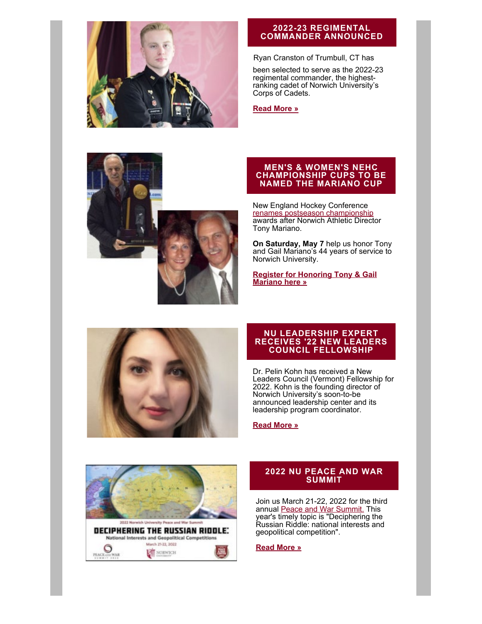

### **2022-23 REGIMENTAL COMMANDER ANNOUNCED**

#### Ryan Cranston of Trumbull, CT has

been selected to serve as the 2022-23 regimental commander, the highestranking cadet of Norwich University's Corps of Cadets.

#### **[Read More »](https://alumni.norwich.edu/page.redir?target=https%3a%2f%2fwww.norwich.edu%2fnews%2f3630-norwich-university-names-top-corps-of-cadets-leader-for-upcoming-academic-year&srcid=157788&srctid=1&erid=22454371&trid=0ca2c1df-c519-4b10-a75a-b08d4b74adae)**



#### **MEN'S & WOMEN'S NEHC CHAMPIONSHIP CUPS TO BE NAMED THE MARIANO CUP**

New England Hockey Conference [renames postseason championship](https://alumni.norwich.edu/page.redir?target=https%3a%2f%2fwww.norwich.edu%2fnews%2f3626-new-england-hockey-conference-renames-postseason-championship-cups-after-norwich-athletic-director-tony-mariano&srcid=157788&srctid=1&erid=22454371&trid=0ca2c1df-c519-4b10-a75a-b08d4b74adae) awards after Norwich Athletic Director Tony Mariano.

**On Saturday, May 7** help us honor Tony and Gail Mariano's 44 years of service to Norwich University.

**[Register for Honoring Tony & Gail](https://alumni.norwich.edu/TonyMariano?srctid=1&erid=22454371&trid=0ca2c1df-c519-4b10-a75a-b08d4b74adae) [Mariano here »](https://alumni.norwich.edu/TonyMariano?srctid=1&erid=22454371&trid=0ca2c1df-c519-4b10-a75a-b08d4b74adae)**



#### **NU LEADERSHIP EXPERT RECEIVES '22 NEW LEADERS COUNCIL FELLOWSHIP**

Dr. Pelin Kohn has received a New Leaders Council (Vermont) Fellowship for 2022. Kohn is the founding director of Norwich University's soon-to-be announced leadership center and its leadership program coordinator.

#### **[Read More »](https://alumni.norwich.edu/page.redir?target=https%3a%2f%2fwww.norwich.edu%2fnews%2f3650-norwich-university-leadership-expert-named-to-2022-new-leaders-council-fellowship&srcid=157788&srctid=1&erid=22454371&trid=0ca2c1df-c519-4b10-a75a-b08d4b74adae)**



#### **2022 NU PEACE AND WAR SUMMIT**

Join us March 21-22, 2022 for the third annual [Peace and War Summit.](https://alumni.norwich.edu/page.redir?target=https%3a%2f%2fwww.norwich.edu%2fpawc%2fevents%2f3468-2022-peace-and-war-virtual-summit&srcid=157788&srctid=1&erid=22454371&trid=0ca2c1df-c519-4b10-a75a-b08d4b74adae) This year's timely topic is "Deciphering the Russian Riddle: national interests and geopolitical competition".

#### **[Read More »](https://alumni.norwich.edu/page.redir?target=https%3a%2f%2fwww.norwich.edu%2fnews%2f3652-norwich-university-presents-deciphering-the-russian-riddle-national-interests-and-geopolitical-competitions-2022-peace-and-war-summit&srcid=157788&srctid=1&erid=22454371&trid=0ca2c1df-c519-4b10-a75a-b08d4b74adae)**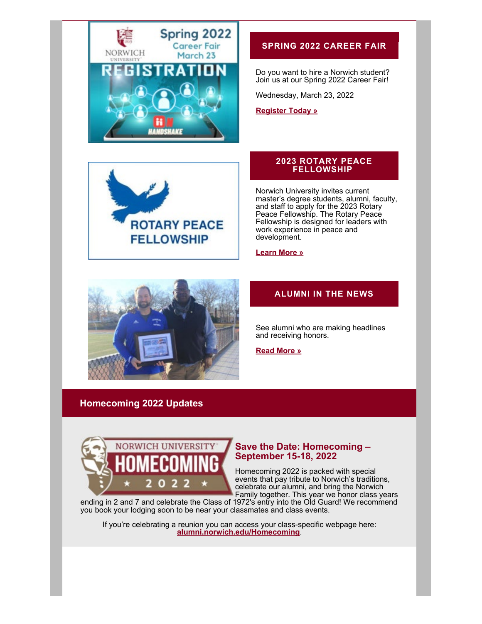



# **SPRING 2022 CAREER FAIR**

Do you want to hire a Norwich student? Join us at our Spring 2022 Career Fair!

Wednesday, March 23, 2022

**[Register Today »](https://alumni.norwich.edu/page.redir?target=https%3a%2f%2fnorwich.joinhandshake.com%2fedu%2fcareer_fairs%2f28448&srcid=157788&srctid=1&erid=22454371&trid=0ca2c1df-c519-4b10-a75a-b08d4b74adae)**

#### **2023 ROTARY PEACE FELLOWSHIP**

Norwich University invites current master's degree students, alumni, faculty, and staff to apply for the 2023 Rotary Peace Fellowship. The Rotary Peace Fellowship is designed for leaders with work experience in peace and development.

**[Learn More »](https://alumni.norwich.edu/page.redir?target=https%3a%2f%2fwww.rotary.org%2fen%2four-programs%2fpeace-fellowships&srcid=157788&srctid=1&erid=22454371&trid=0ca2c1df-c519-4b10-a75a-b08d4b74adae)**



# **ALUMNI IN THE NEWS**

See alumni who are making headlines and receiving honors.

**[Read More »](https://alumni.norwich.edu/AlumniNews?srctid=1&erid=22454371&trid=0ca2c1df-c519-4b10-a75a-b08d4b74adae)**

# **Homecoming 2022 Updates**



# **Save the Date: Homecoming – September 15-18, 2022**

Homecoming 2022 is packed with special events that pay tribute to Norwich's traditions, celebrate our alumni, and bring the Norwich Family together. This year we honor class years

ending in 2 and 7 and celebrate the Class of 1972's entry into the Old Guard! We recommend you book your lodging soon to be near your classmates and class events.

If you're celebrating a reunion you can access your class-specific webpage here: **[alumni.norwich.edu/Homecoming](https://alumni.norwich.edu/Homecoming?srctid=1&erid=22454371&trid=0ca2c1df-c519-4b10-a75a-b08d4b74adae)**.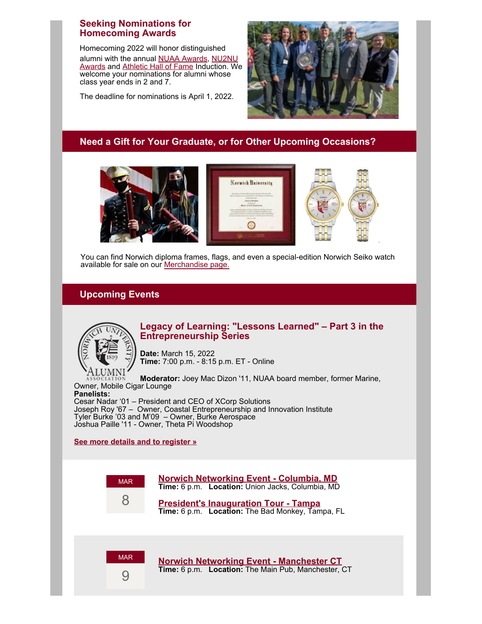# **Seeking Nominations for Homecoming Awards**

alumni with the annual [NUAA Awards](https://alumni.norwich.edu/AlumniAwards?srctid=1&erid=22454371&trid=0ca2c1df-c519-4b10-a75a-b08d4b74adae), [NU2NU](https://alumni.norwich.edu/NU2NU?srctid=1&erid=22454371&trid=0ca2c1df-c519-4b10-a75a-b08d4b74adae) [Awards](https://alumni.norwich.edu/NU2NU?srctid=1&erid=22454371&trid=0ca2c1df-c519-4b10-a75a-b08d4b74adae) and [Athletic Hall of Fame](https://alumni.norwich.edu/page.redir?target=https%3a%2f%2fwww.norwichathletics.com%2fhalloffame%2fnominationform&srcid=157788&srctid=1&erid=22454371&trid=0ca2c1df-c519-4b10-a75a-b08d4b74adae) Induction. We welcome your nominations for alumni whose class year ends in 2 and 7. Homecoming 2022 will honor distinguished

The deadline for nominations is April 1, 2022.



# **Need a Gift for Your Graduate, or for Other Upcoming Occasions?**



You can find Norwich diploma frames, flags, and even a special-edition Norwich Seiko watch available for sale on our [Merchandise page.](https://alumni.norwich.edu/Merchandise?srctid=1&erid=22454371&trid=0ca2c1df-c519-4b10-a75a-b08d4b74adae)

# **Upcoming Events**



# **Legacy of Learning: "Lessons Learned" – Part 3 in the Entrepreneurship Series**

**Date:** March 15, 2022 **Time:** 7:00 p.m. - 8:15 p.m. ET - Online

**Moderator:** Joey Mac Dizon '11, NUAA board member, former Marine, Owner, Mobile Cigar Lounge **Panelists:**

Cesar Nadar '01 – President and CEO of XCorp Solutions Joseph Roy '67 – Owner, Coastal Entrepreneurship and Innovation Institute Tyler Burke '03 and M'09 – Owner, Burke Aerospace Joshua Paille '11 - Owner, Theta Pi Woodshop

# **[See more details and to register »](https://alumni.norwich.edu/page.redir?target=https%3a%2f%2fteams.microsoft.com%2fregistration%2fVrf8NHw66k2rTVMkvALvXg%2cm1JaasDU1E-3DATk1xVoow%2cYkoKzHBhvEq0IKENaPYqvA%2cVvnS7vjnfUSKqN2oUEy02w%2cWrHscEYRF02ic2A2E5YVZQ%2cOf_jBuTyXkajq3kQZNU4oA%3fmode%3dread%26amp%3btenantId%3d34fcb756-3a7c-4dea-ab4d-5324bc02ef5e&srcid=157788&srctid=1&erid=22454371&trid=0ca2c1df-c519-4b10-a75a-b08d4b74adae)**





MAR

**[President's Inauguration Tour - Tampa](https://alumni.norwich.edu/TampaTour?srctid=1&erid=22454371&trid=0ca2c1df-c519-4b10-a75a-b08d4b74adae) Time:** 6 p.m. **Location:** The Bad Monkey, Tampa, FL



**[Norwich Networking Event - Manchester CT](https://alumni.norwich.edu/events/norwichnetworking2022CT?srctid=1&erid=22454371&trid=0ca2c1df-c519-4b10-a75a-b08d4b74adae) Time:** 6 p.m. **Location:** The Main Pub, Manchester, CT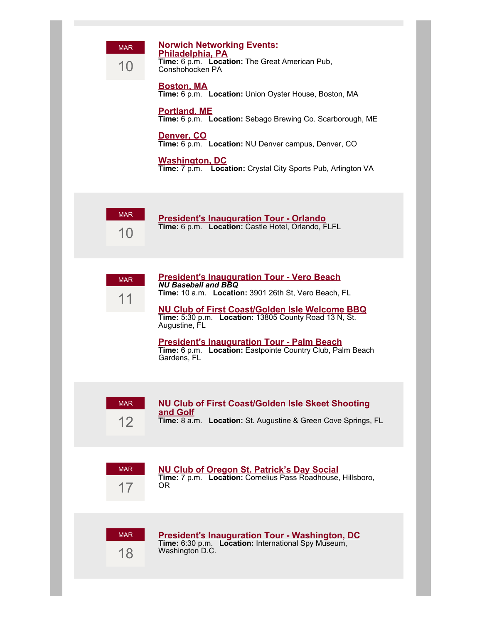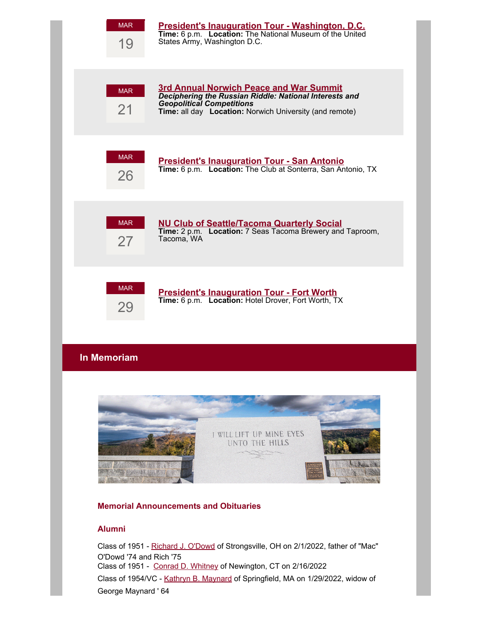| <b>MAR</b><br>19                             | President's Inauguration Tour - Washington, D.C.<br>Time: 6 p.m. Location: The National Museum of the United<br>States Army, Washington D.C.                                                            |
|----------------------------------------------|---------------------------------------------------------------------------------------------------------------------------------------------------------------------------------------------------------|
| <b>MAR</b><br>21                             | <b>3rd Annual Norwich Peace and War Summit</b><br>Deciphering the Russian Riddle: National Interests and<br><b>Geopolitical Competitions</b><br>Time: all day Location: Norwich University (and remote) |
| <b>MAR</b><br>26                             | <b>President's Inauguration Tour - San Antonio</b><br>Time: 6 p.m. Location: The Club at Sonterra, San Antonio, TX                                                                                      |
| <b>MAR</b><br>27                             | <b>NU Club of Seattle/Tacoma Quarterly Social</b><br>Time: 2 p.m. Location: 7 Seas Tacoma Brewery and Taproom,<br>Tacoma, WA                                                                            |
| <b>MAR</b><br>29                             | <b>President's Inauguration Tour - Fort Worth</b><br>Time: 6 p.m. Location: Hotel Drover, Fort Worth, TX                                                                                                |
| In Memoriam                                  |                                                                                                                                                                                                         |
|                                              | I WILL LIFT UP MINE EYES<br>UNTO THE HILLS                                                                                                                                                              |
| <b>Memorial Announcements and Obituaries</b> |                                                                                                                                                                                                         |

# **Alumni**

Class of 1951 - [Richard J. O'Dowd](https://alumni.norwich.edu/page.redir?target=https%3a%2f%2fwww.legacy.com%2fus%2fobituaries%2fname%2frichard-o-dowd-obituary%3fid%3d32741420&srcid=157788&srctid=1&erid=22454371&trid=0ca2c1df-c519-4b10-a75a-b08d4b74adae) of Strongsville, OH on 2/1/2022, father of "Mac" O'Dowd '74 and Rich '75 Class of 1951 - [Conrad D. Whitney](https://alumni.norwich.edu/page.redir?target=https%3a%2f%2fwww.sheehanhilbornbreen.com%2fmemorials%2fconrad-whitney%2f4862203%2fobituary.php&srcid=157788&srctid=1&erid=22454371&trid=0ca2c1df-c519-4b10-a75a-b08d4b74adae) of Newington, CT on 2/16/2022 Class of 1954/VC - [Kathryn B. Maynard](https://alumni.norwich.edu/page.redir?target=https%3a%2f%2fwww.legacy.com%2fus%2fobituaries%2fberkshire%2fname%2fkathryn-maynard-obituary%3fid%3d32750125&srcid=157788&srctid=1&erid=22454371&trid=0ca2c1df-c519-4b10-a75a-b08d4b74adae) of Springfield, MA on 1/29/2022, widow of George Maynard ' 64